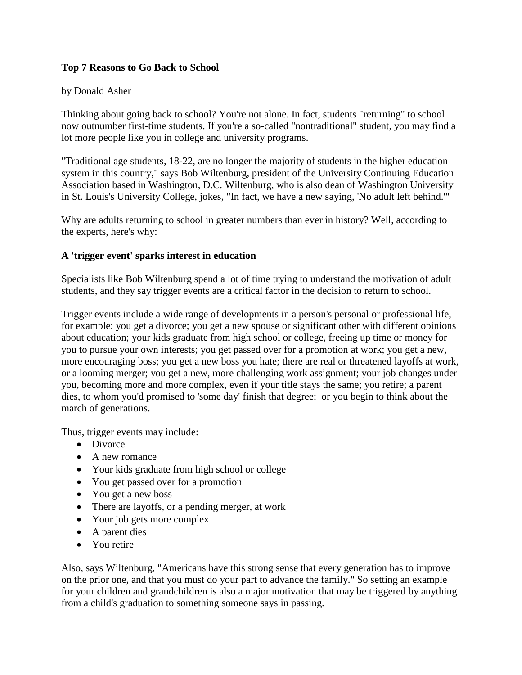## **Top 7 Reasons to Go Back to School**

## by Donald Asher

Thinking about going back to school? You're not alone. In fact, students "returning" to school now outnumber first-time students. If you're a so-called "nontraditional" student, you may find a lot more people like you in college and university programs.

"Traditional age students, 18-22, are no longer the majority of students in the higher education system in this country," says Bob Wiltenburg, president of the University Continuing Education Association based in Washington, D.C. Wiltenburg, who is also dean of Washington University in St. Louis's University College, jokes, "In fact, we have a new saying, 'No adult left behind.'"

Why are adults returning to school in greater numbers than ever in history? Well, according to the experts, here's why:

## **A 'trigger event' sparks interest in education**

Specialists like Bob Wiltenburg spend a lot of time trying to understand the motivation of adult students, and they say trigger events are a critical factor in the decision to return to school.

Trigger events include a wide range of developments in a person's personal or professional life, for example: you get a divorce; you get a new spouse or significant other with different opinions about education; your kids graduate from high school or college, freeing up time or money for you to pursue your own interests; you get passed over for a promotion at work; you get a new, more encouraging boss; you get a new boss you hate; there are real or threatened layoffs at work, or a looming merger; you get a new, more challenging work assignment; your job changes under you, becoming more and more complex, even if your title stays the same; you retire; a parent dies, to whom you'd promised to 'some day' finish that degree; or you begin to think about the march of generations.

Thus, trigger events may include:

- Divorce
- A new romance
- Your kids graduate from high school or college
- You get passed over for a promotion
- You get a new boss
- There are layoffs, or a pending merger, at work
- Your job gets more complex
- A parent dies
- You retire

Also, says Wiltenburg, "Americans have this strong sense that every generation has to improve on the prior one, and that you must do your part to advance the family." So setting an example for your children and grandchildren is also a major motivation that may be triggered by anything from a child's graduation to something someone says in passing.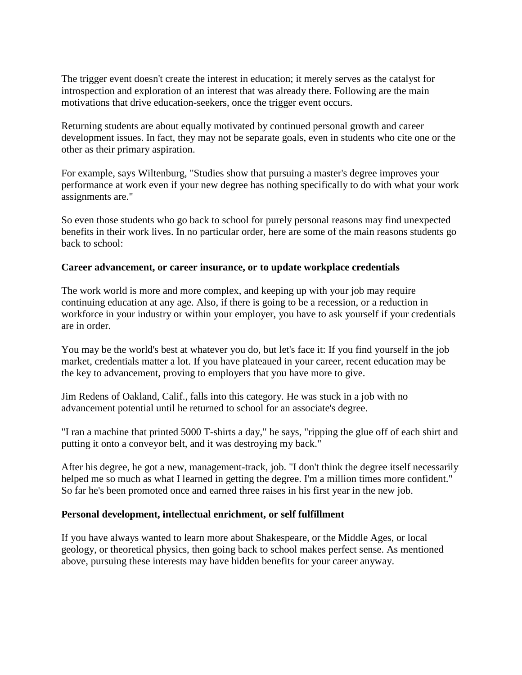The trigger event doesn't create the interest in education; it merely serves as the catalyst for introspection and exploration of an interest that was already there. Following are the main motivations that drive education-seekers, once the trigger event occurs.

Returning students are about equally motivated by continued personal growth and career development issues. In fact, they may not be separate goals, even in students who cite one or the other as their primary aspiration.

For example, says Wiltenburg, "Studies show that pursuing a master's degree improves your performance at work even if your new degree has nothing specifically to do with what your work assignments are."

So even those students who go back to school for purely personal reasons may find unexpected benefits in their work lives. In no particular order, here are some of the main reasons students go back to school:

### **Career advancement, or career insurance, or to update workplace credentials**

The work world is more and more complex, and keeping up with your job may require continuing education at any age. Also, if there is going to be a recession, or a reduction in workforce in your industry or within your employer, you have to ask yourself if your credentials are in order.

You may be the world's best at whatever you do, but let's face it: If you find yourself in the job market, credentials matter a lot. If you have plateaued in your career, recent education may be the key to advancement, proving to employers that you have more to give.

Jim Redens of Oakland, Calif., falls into this category. He was stuck in a job with no advancement potential until he returned to school for an associate's degree.

"I ran a machine that printed 5000 T-shirts a day," he says, "ripping the glue off of each shirt and putting it onto a conveyor belt, and it was destroying my back."

After his degree, he got a new, management-track, job. "I don't think the degree itself necessarily helped me so much as what I learned in getting the degree. I'm a million times more confident." So far he's been promoted once and earned three raises in his first year in the new job.

### **Personal development, intellectual enrichment, or self fulfillment**

If you have always wanted to learn more about Shakespeare, or the Middle Ages, or local geology, or theoretical physics, then going back to school makes perfect sense. As mentioned above, pursuing these interests may have hidden benefits for your career anyway.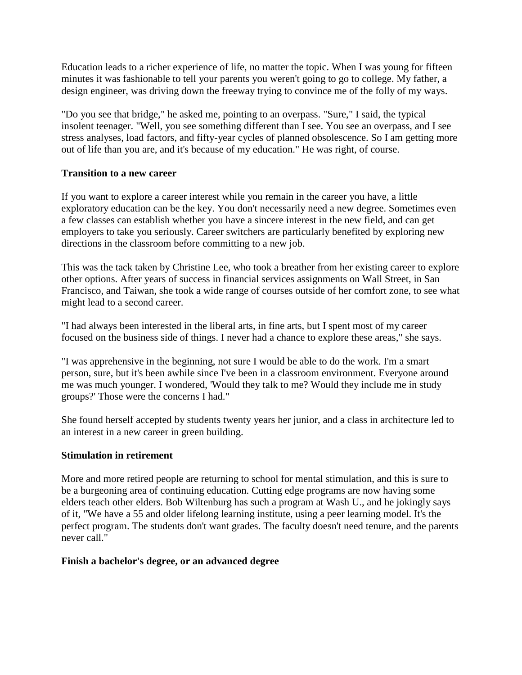Education leads to a richer experience of life, no matter the topic. When I was young for fifteen minutes it was fashionable to tell your parents you weren't going to go to college. My father, a design engineer, was driving down the freeway trying to convince me of the folly of my ways.

"Do you see that bridge," he asked me, pointing to an overpass. "Sure," I said, the typical insolent teenager. "Well, you see something different than I see. You see an overpass, and I see stress analyses, load factors, and fifty-year cycles of planned obsolescence. So I am getting more out of life than you are, and it's because of my education." He was right, of course.

## **Transition to a new career**

If you want to explore a career interest while you remain in the career you have, a little exploratory education can be the key. You don't necessarily need a new degree. Sometimes even a few classes can establish whether you have a sincere interest in the new field, and can get employers to take you seriously. Career switchers are particularly benefited by exploring new directions in the classroom before committing to a new job.

This was the tack taken by Christine Lee, who took a breather from her existing career to explore other options. After years of success in financial services assignments on Wall Street, in San Francisco, and Taiwan, she took a wide range of courses outside of her comfort zone, to see what might lead to a second career.

"I had always been interested in the liberal arts, in fine arts, but I spent most of my career focused on the business side of things. I never had a chance to explore these areas," she says.

"I was apprehensive in the beginning, not sure I would be able to do the work. I'm a smart person, sure, but it's been awhile since I've been in a classroom environment. Everyone around me was much younger. I wondered, 'Would they talk to me? Would they include me in study groups?' Those were the concerns I had."

She found herself accepted by students twenty years her junior, and a class in architecture led to an interest in a new career in green building.

### **Stimulation in retirement**

More and more retired people are returning to school for mental stimulation, and this is sure to be a burgeoning area of continuing education. Cutting edge programs are now having some elders teach other elders. Bob Wiltenburg has such a program at Wash U., and he jokingly says of it, "We have a 55 and older lifelong learning institute, using a peer learning model. It's the perfect program. The students don't want grades. The faculty doesn't need tenure, and the parents never call."

### **Finish a bachelor's degree, or an advanced degree**